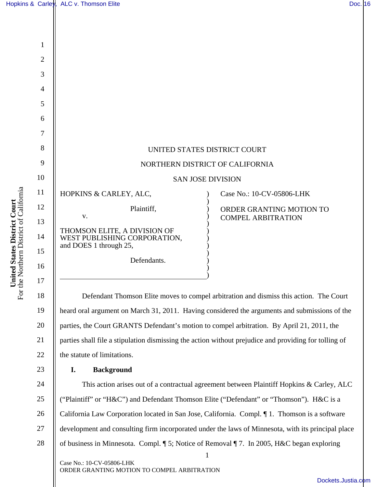|                                                                                          |                | Doc. 16<br>Hopkins & Carley, ALC v. Thomson Elite                                                     |  |
|------------------------------------------------------------------------------------------|----------------|-------------------------------------------------------------------------------------------------------|--|
|                                                                                          |                |                                                                                                       |  |
| <b>ited States District Court</b><br>Northern District of California<br>Uni<br>For the l |                |                                                                                                       |  |
|                                                                                          | $\mathbf{1}$   |                                                                                                       |  |
|                                                                                          | $\overline{2}$ |                                                                                                       |  |
|                                                                                          | 3              |                                                                                                       |  |
|                                                                                          | 4              |                                                                                                       |  |
|                                                                                          | 5              |                                                                                                       |  |
|                                                                                          | 6              |                                                                                                       |  |
|                                                                                          | 7              |                                                                                                       |  |
|                                                                                          | 8              | UNITED STATES DISTRICT COURT                                                                          |  |
|                                                                                          | 9              | NORTHERN DISTRICT OF CALIFORNIA                                                                       |  |
|                                                                                          | 10             | <b>SAN JOSE DIVISION</b>                                                                              |  |
|                                                                                          | 11             | HOPKINS & CARLEY, ALC,<br>Case No.: 10-CV-05806-LHK                                                   |  |
|                                                                                          | 12             | Plaintiff,<br>ORDER GRANTING MOTION TO                                                                |  |
|                                                                                          | 13             | V.<br><b>COMPEL ARBITRATION</b>                                                                       |  |
|                                                                                          | 14             | THOMSON ELITE, A DIVISION OF<br>WEST PUBLISHING CORPORATION,                                          |  |
|                                                                                          | 15             | and DOES 1 through 25,                                                                                |  |
|                                                                                          | 16             | Defendants.                                                                                           |  |
|                                                                                          | 17             |                                                                                                       |  |
|                                                                                          | 18             | Defendant Thomson Elite moves to compel arbitration and dismiss this action. The Court                |  |
|                                                                                          | 19             | heard oral argument on March 31, 2011. Having considered the arguments and submissions of the         |  |
|                                                                                          | 20             | parties, the Court GRANTS Defendant's motion to compel arbitration. By April 21, 2011, the            |  |
|                                                                                          | 21             | parties shall file a stipulation dismissing the action without prejudice and providing for tolling of |  |
|                                                                                          | 22             | the statute of limitations.                                                                           |  |
|                                                                                          | 23             | <b>Background</b><br>I.                                                                               |  |
|                                                                                          | 24             | This action arises out of a contractual agreement between Plaintiff Hopkins & Carley, ALC             |  |
|                                                                                          | 25             | ("Plaintiff" or "H&C") and Defendant Thomson Elite ("Defendant" or "Thomson"). H&C is a               |  |
|                                                                                          | 26             | California Law Corporation located in San Jose, California. Compl. 1. Thomson is a software           |  |
|                                                                                          | 27             | development and consulting firm incorporated under the laws of Minnesota, with its principal place    |  |
|                                                                                          | 28             | of business in Minnesota. Compl. ¶ 5; Notice of Removal ¶ 7. In 2005, H&C began exploring             |  |
|                                                                                          |                | Case No.: 10-CV-05806-LHK                                                                             |  |
|                                                                                          |                | ORDER GRANTING MOTION TO COMPEL ARBITRATION                                                           |  |
|                                                                                          |                | Dockets.Justia.com                                                                                    |  |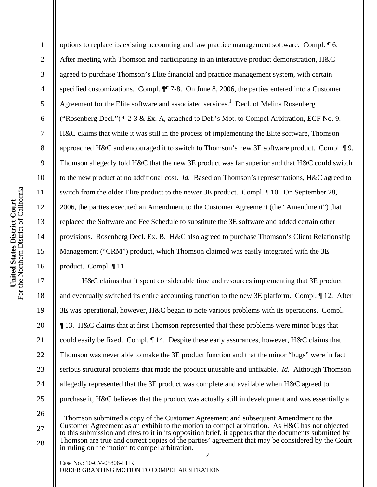2

3

4

5

6

7

8

9

10

11

12

13

14

15

16

17

18

19

20

21

22

23

24

25

26

27

28

options to replace its existing accounting and law practice management software. Compl. ¶ 6. After meeting with Thomson and participating in an interactive product demonstration, H&C agreed to purchase Thomson's Elite financial and practice management system, with certain specified customizations. Compl. ¶¶ 7-8. On June 8, 2006, the parties entered into a Customer Agreement for the Elite software and associated services.<sup>1</sup> Decl. of Melina Rosenberg ("Rosenberg Decl.") ¶ 2-3 & Ex. A, attached to Def.'s Mot. to Compel Arbitration, ECF No. 9. H&C claims that while it was still in the process of implementing the Elite software, Thomson approached H&C and encouraged it to switch to Thomson's new 3E software product. Compl. ¶ 9. Thomson allegedly told H&C that the new 3E product was far superior and that H&C could switch to the new product at no additional cost. *Id.* Based on Thomson's representations, H&C agreed to switch from the older Elite product to the newer 3E product. Compl. ¶ 10. On September 28, 2006, the parties executed an Amendment to the Customer Agreement (the "Amendment") that replaced the Software and Fee Schedule to substitute the 3E software and added certain other provisions. Rosenberg Decl. Ex. B. H&C also agreed to purchase Thomson's Client Relationship Management ("CRM") product, which Thomson claimed was easily integrated with the 3E product. Compl. ¶ 11.

 H&C claims that it spent considerable time and resources implementing that 3E product and eventually switched its entire accounting function to the new 3E platform. Compl. ¶ 12. After 3E was operational, however, H&C began to note various problems with its operations. Compl. ¶ 13. H&C claims that at first Thomson represented that these problems were minor bugs that could easily be fixed. Compl. ¶ 14. Despite these early assurances, however, H&C claims that Thomson was never able to make the 3E product function and that the minor "bugs" were in fact serious structural problems that made the product unusable and unfixable. *Id.* Although Thomson allegedly represented that the 3E product was complete and available when H&C agreed to purchase it, H&C believes that the product was actually still in development and was essentially a  $\overline{\phantom{a}}$ 

 $1$  Thomson submitted a copy of the Customer Agreement and subsequent Amendment to the Customer Agreement as an exhibit to the motion to compel arbitration. As H&C has not objected to this submission and cites to it in its opposition brief, it appears that the documents submitted by Thomson are true and correct copies of the parties' agreement that may be considered by the Court in ruling on the motion to compel arbitration.

Case No.: 10-CV-05806-LHK ORDER GRANTING MOTION TO COMPEL ARBITRATION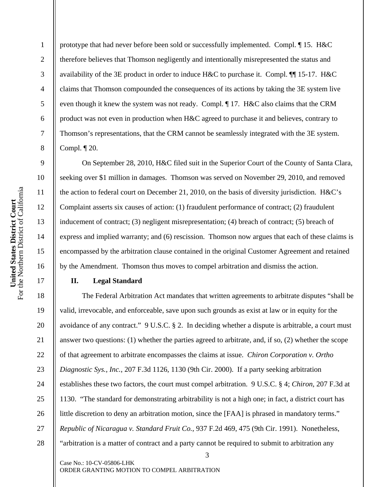prototype that had never before been sold or successfully implemented. Compl. ¶ 15. H&C therefore believes that Thomson negligently and intentionally misrepresented the status and availability of the 3E product in order to induce H&C to purchase it. Compl. ¶¶ 15-17. H&C claims that Thomson compounded the consequences of its actions by taking the 3E system live even though it knew the system was not ready. Compl. ¶ 17. H&C also claims that the CRM product was not even in production when H&C agreed to purchase it and believes, contrary to Thomson's representations, that the CRM cannot be seamlessly integrated with the 3E system. Compl. ¶ 20.

 On September 28, 2010, H&C filed suit in the Superior Court of the County of Santa Clara, seeking over \$1 million in damages. Thomson was served on November 29, 2010, and removed the action to federal court on December 21, 2010, on the basis of diversity jurisdiction. H&C's Complaint asserts six causes of action: (1) fraudulent performance of contract; (2) fraudulent inducement of contract; (3) negligent misrepresentation; (4) breach of contract; (5) breach of express and implied warranty; and (6) rescission. Thomson now argues that each of these claims is encompassed by the arbitration clause contained in the original Customer Agreement and retained by the Amendment. Thomson thus moves to compel arbitration and dismiss the action.

## **II. Legal Standard**

The Federal Arbitration Act mandates that written agreements to arbitrate disputes "shall be valid, irrevocable, and enforceable, save upon such grounds as exist at law or in equity for the avoidance of any contract." 9 U.S.C. § 2. In deciding whether a dispute is arbitrable, a court must answer two questions: (1) whether the parties agreed to arbitrate, and, if so, (2) whether the scope of that agreement to arbitrate encompasses the claims at issue. *Chiron Corporation v. Ortho Diagnostic Sys., Inc.*, 207 F.3d 1126, 1130 (9th Cir. 2000). If a party seeking arbitration establishes these two factors, the court must compel arbitration. 9 U.S.C. § 4; *Chiron*, 207 F.3d at 1130. "The standard for demonstrating arbitrability is not a high one; in fact, a district court has little discretion to deny an arbitration motion, since the [FAA] is phrased in mandatory terms." *Republic of Nicaragua v. Standard Fruit Co.*, 937 F.2d 469, 475 (9th Cir. 1991). Nonetheless, "arbitration is a matter of contract and a party cannot be required to submit to arbitration any

3

Case No.: 10-CV-05806-LHK ORDER GRANTING MOTION TO COMPEL ARBITRATION

1

2

3

4

5

6

7

8

9

10

11

12

13

14

15

16

17

18

19

20

21

22

23

24

25

26

27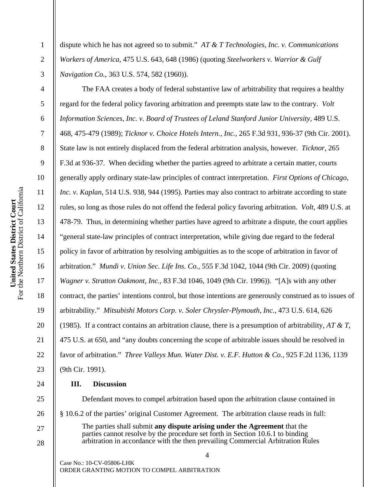dispute which he has not agreed so to submit." *AT & T Technologies, Inc. v. Communications Workers of America*, 475 U.S. 643, 648 (1986) (quoting *Steelworkers v. Warrior & Gulf Navigation Co.*, 363 U.S. 574, 582 (1960)).

The FAA creates a body of federal substantive law of arbitrability that requires a healthy regard for the federal policy favoring arbitration and preempts state law to the contrary. *Volt Information Sciences, Inc. v. Board of Trustees of Leland Stanford Junior University*, 489 U.S. 468, 475-479 (1989); *Ticknor v. Choice Hotels Intern., Inc.*, 265 F.3d 931, 936-37 (9th Cir. 2001). State law is not entirely displaced from the federal arbitration analysis, however. *Ticknor*, 265 F.3d at 936-37. When deciding whether the parties agreed to arbitrate a certain matter, courts generally apply ordinary state-law principles of contract interpretation. *First Options of Chicago, Inc. v. Kaplan*, 514 U.S. 938, 944 (1995). Parties may also contract to arbitrate according to state rules, so long as those rules do not offend the federal policy favoring arbitration. *Volt*, 489 U.S. at 478-79. Thus, in determining whether parties have agreed to arbitrate a dispute, the court applies "general state-law principles of contract interpretation, while giving due regard to the federal policy in favor of arbitration by resolving ambiguities as to the scope of arbitration in favor of arbitration." *Mundi v. Union Sec. Life Ins. Co.*, 555 F.3d 1042, 1044 (9th Cir. 2009) (quoting *Wagner v. Stratton Oakmont, Inc.*, 83 F.3d 1046, 1049 (9th Cir. 1996)). "[A]s with any other contract, the parties' intentions control, but those intentions are generously construed as to issues of arbitrability." *Mitsubishi Motors Corp. v. Soler Chrysler-Plymouth, Inc.*, 473 U.S. 614, 626 (1985). If a contract contains an arbitration clause, there is a presumption of arbitrability, *AT & T*, 475 U.S. at 650, and "any doubts concerning the scope of arbitrable issues should be resolved in favor of arbitration." *Three Valleys Mun. Water Dist. v. E.F. Hutton & Co.*, 925 F.2d 1136, 1139 (9th Cir. 1991).

## **III. Discussion**

Defendant moves to compel arbitration based upon the arbitration clause contained in § 10.6.2 of the parties' original Customer Agreement. The arbitration clause reads in full: The parties shall submit **any dispute arising under the Agreement** that the parties cannot resolve by the procedure set forth in Section 10.6.1 to binding arbitration in accordance with the then prevailing Commercial Arbitration Rules

4

Case No.: 10-CV-05806-LHK ORDER GRANTING MOTION TO COMPEL ARBITRATION

1

2

3

4

5

6

7

8

9

10

11

12

13

14

15

16

17

18

19

20

21

22

23

24

25

26

27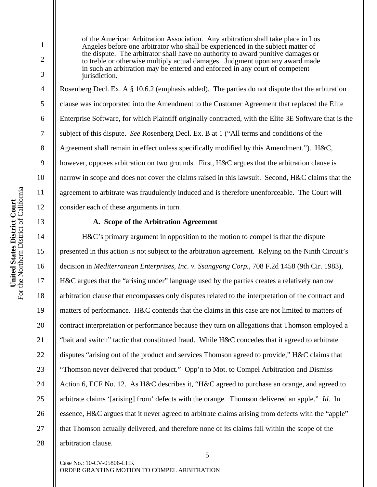2

3

4

5

6

7

8

9

10

11

12

13

14

15

16

17

18

19

20

21

22

23

24

25

26

27

28

of the American Arbitration Association. Any arbitration shall take place in Los Angeles before one arbitrator who shall be experienced in the subject matter of the dispute. The arbitrator shall have no authority to award punitive damages or to treble or otherwise multiply actual damages. Judgment upon any award made in such an arbitration may be entered and enforced in any court of competent jurisdiction.

Rosenberg Decl. Ex. A § 10.6.2 (emphasis added). The parties do not dispute that the arbitration clause was incorporated into the Amendment to the Customer Agreement that replaced the Elite Enterprise Software, for which Plaintiff originally contracted, with the Elite 3E Software that is the subject of this dispute. *See* Rosenberg Decl. Ex. B at 1 ("All terms and conditions of the Agreement shall remain in effect unless specifically modified by this Amendment."). H&C, however, opposes arbitration on two grounds. First, H&C argues that the arbitration clause is narrow in scope and does not cover the claims raised in this lawsuit. Second, H&C claims that the agreement to arbitrate was fraudulently induced and is therefore unenforceable. The Court will consider each of these arguments in turn.

#### **A. Scope of the Arbitration Agreement**

H&C's primary argument in opposition to the motion to compel is that the dispute presented in this action is not subject to the arbitration agreement. Relying on the Ninth Circuit's decision in *Mediterranean Enterprises, Inc. v. Ssangyong Corp.*, 708 F.2d 1458 (9th Cir. 1983), H&C argues that the "arising under" language used by the parties creates a relatively narrow arbitration clause that encompasses only disputes related to the interpretation of the contract and matters of performance. H&C contends that the claims in this case are not limited to matters of contract interpretation or performance because they turn on allegations that Thomson employed a "bait and switch" tactic that constituted fraud. While H&C concedes that it agreed to arbitrate disputes "arising out of the product and services Thomson agreed to provide," H&C claims that "Thomson never delivered that product." Opp'n to Mot. to Compel Arbitration and Dismiss Action 6, ECF No. 12. As H&C describes it, "H&C agreed to purchase an orange, and agreed to arbitrate claims '[arising] from' defects with the orange. Thomson delivered an apple." *Id.* In essence, H&C argues that it never agreed to arbitrate claims arising from defects with the "apple" that Thomson actually delivered, and therefore none of its claims fall within the scope of the arbitration clause.

Case No.: 10-CV-05806-LHK ORDER GRANTING MOTION TO COMPEL ARBITRATION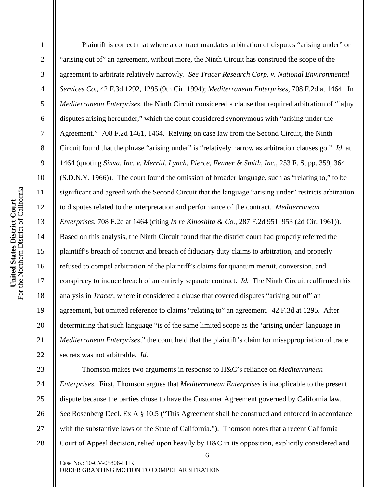For the Northern District of California United States District Court<br>For the Northern District of California **United States District Court** 

1

2

3

4

5

6

7

8

9

10

11

12

13

14

15

16

17

18

19

20

21

22

23

24

25

26

27

28

Plaintiff is correct that where a contract mandates arbitration of disputes "arising under" or "arising out of" an agreement, without more, the Ninth Circuit has construed the scope of the agreement to arbitrate relatively narrowly. *See Tracer Research Corp. v. National Environmental Services Co.*, 42 F.3d 1292, 1295 (9th Cir. 1994); *Mediterranean Enterprises*, 708 F.2d at 1464. In *Mediterranean Enterprises*, the Ninth Circuit considered a clause that required arbitration of "[a]ny disputes arising hereunder," which the court considered synonymous with "arising under the Agreement." 708 F.2d 1461, 1464. Relying on case law from the Second Circuit, the Ninth Circuit found that the phrase "arising under" is "relatively narrow as arbitration clauses go." *Id.* at 1464 (quoting *Sinva, Inc. v. Merrill, Lynch, Pierce, Fenner & Smith, Inc.*, 253 F. Supp. 359, 364 (S.D.N.Y. 1966)). The court found the omission of broader language, such as "relating to," to be significant and agreed with the Second Circuit that the language "arising under" restricts arbitration to disputes related to the interpretation and performance of the contract. *Mediterranean Enterprises*, 708 F.2d at 1464 (citing *In re Kinoshita & Co.*, 287 F.2d 951, 953 (2d Cir. 1961)). Based on this analysis, the Ninth Circuit found that the district court had properly referred the plaintiff's breach of contract and breach of fiduciary duty claims to arbitration, and properly refused to compel arbitration of the plaintiff's claims for quantum meruit, conversion, and conspiracy to induce breach of an entirely separate contract. *Id.* The Ninth Circuit reaffirmed this analysis in *Tracer*, where it considered a clause that covered disputes "arising out of" an agreement, but omitted reference to claims "relating to" an agreement. 42 F.3d at 1295. After determining that such language "is of the same limited scope as the 'arising under' language in *Mediterranean Enterprises*," the court held that the plaintiff's claim for misappropriation of trade secrets was not arbitrable. *Id.*

Thomson makes two arguments in response to H&C's reliance on *Mediterranean Enterprises*. First, Thomson argues that *Mediterranean Enterprises* is inapplicable to the present dispute because the parties chose to have the Customer Agreement governed by California law. *See* Rosenberg Decl. Ex A § 10.5 ("This Agreement shall be construed and enforced in accordance with the substantive laws of the State of California."). Thomson notes that a recent California Court of Appeal decision, relied upon heavily by H&C in its opposition, explicitly considered and

6

Case No.: 10-CV-05806-LHK ORDER GRANTING MOTION TO COMPEL ARBITRATION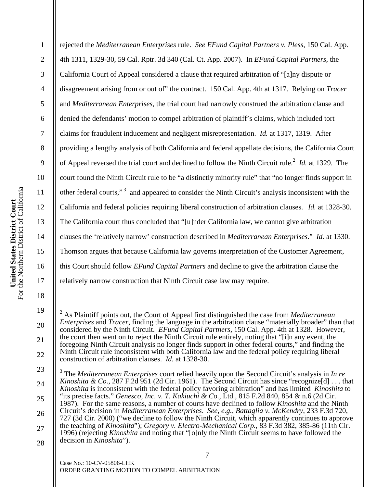20

21

22

1

2

3

rejected the *Mediterranean Enterprises* rule. *See EFund Capital Partners v. Pless*, 150 Cal. App. 4th 1311, 1329-30, 59 Cal. Rptr. 3d 340 (Cal. Ct. App. 2007). In *EFund Capital Partners*, the California Court of Appeal considered a clause that required arbitration of "[a]ny dispute or disagreement arising from or out of" the contract. 150 Cal. App. 4th at 1317. Relying on *Tracer* and *Mediterranean Enterprises*, the trial court had narrowly construed the arbitration clause and denied the defendants' motion to compel arbitration of plaintiff's claims, which included tort claims for fraudulent inducement and negligent misrepresentation. *Id.* at 1317, 1319. After providing a lengthy analysis of both California and federal appellate decisions, the California Court of Appeal reversed the trial court and declined to follow the Ninth Circuit rule.<sup>2</sup> *Id.* at 1329. The court found the Ninth Circuit rule to be "a distinctly minority rule" that "no longer finds support in other federal courts,"<sup>3</sup> and appeared to consider the Ninth Circuit's analysis inconsistent with the California and federal policies requiring liberal construction of arbitration clauses. *Id.* at 1328-30. The California court thus concluded that "[u]nder California law, we cannot give arbitration clauses the 'relatively narrow' construction described in *Mediterranean Enterprises*." *Id.* at 1330. Thomson argues that because California law governs interpretation of the Customer Agreement, this Court should follow *EFund Capital Partners* and decline to give the arbitration clause the relatively narrow construction that Ninth Circuit case law may require.

 2 As Plaintiff points out, the Court of Appeal first distinguished the case from *Mediterranean Enterprises* and *Tracer*, finding the language in the arbitration clause "materially broader" than that considered by the Ninth Circuit. *EFund Capital Partners*, 150 Cal. App. 4th at 1328. However, the court then went on to reject the Ninth Circuit rule entirely, noting that "[i]n any event, the foregoing Ninth Circuit analysis no longer finds support in other federal courts," and finding the Ninth Circuit rule inconsistent with both California law and the federal policy requiring liberal construction of arbitration clauses. *Id.* at 1328-30.

<sup>23</sup>  24 25 26 27 28 3 The *Mediterranean Enterprises* court relied heavily upon the Second Circuit's analysis in *In re Kinoshita & Co.*, 287 F.2d 951 (2d Cir. 1961). The Second Circuit has since "recognize[d] . . . that *Kinoshita* is inconsistent with the federal policy favoring arbitration" and has limited *Kinoshita* to "its precise facts." *Genesco, Inc. v. T. Kakiuchi & Co.*, Ltd., 815 F.2d 840, 854 & n.6 (2d Cir. 1987). For the same reasons, a number of courts have declined to follow *Kinoshita* and the Ninth Circuit's decision in *Mediterranean Enterprises*. *See, e.g.*, *Battaglia v. McKendry*, 233 F.3d 720, 727 (3d Cir. 2000) ("we decline to follow the Ninth Circuit, which apparently continues to approve the teaching of *Kinoshita*"); *Gregory v. Electro-Mechanical Corp.*, 83 F.3d 382, 385-86 (11th Cir. 1996) (rejecting *Kinoshita* and noting that "[o]nly the Ninth Circuit seems to have followed the decision in *Kinoshita*").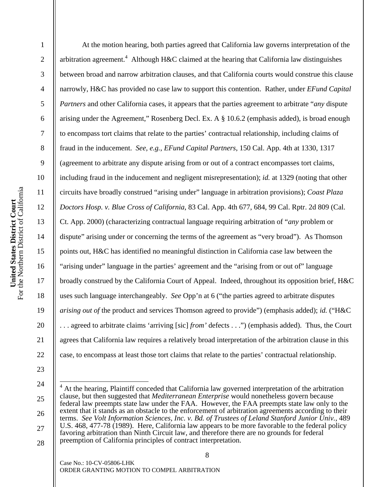arbitration agreement.<sup>4</sup> Although H&C claimed at the hearing that California law distinguishes 2 3 between broad and narrow arbitration clauses, and that California courts would construe this clause 4 narrowly, H&C has provided no case law to support this contention. Rather, under *EFund Capital*  5 *Partners* and other California cases, it appears that the parties agreement to arbitrate "*any* dispute 6 arising under the Agreement," Rosenberg Decl. Ex. A § 10.6.2 (emphasis added), is broad enough 7 to encompass tort claims that relate to the parties' contractual relationship, including claims of 8 fraud in the inducement. *See, e.g.*, *EFund Capital Partners*, 150 Cal. App. 4th at 1330, 1317 9 (agreement to arbitrate any dispute arising from or out of a contract encompasses tort claims, 10 including fraud in the inducement and negligent misrepresentation); *id.* at 1329 (noting that other For the Northern District of California United States District Court<br>For the Northern District of California 11 circuits have broadly construed "arising under" language in arbitration provisions); *Coast Plaza*  **United States District Court**  12 *Doctors Hosp. v. Blue Cross of California*, 83 Cal. App. 4th 677, 684, 99 Cal. Rptr. 2d 809 (Cal. 13 Ct. App. 2000) (characterizing contractual language requiring arbitration of "*any* problem or 14 dispute" arising under or concerning the terms of the agreement as "very broad"). As Thomson 15 points out, H&C has identified no meaningful distinction in California case law between the 16 "arising under" language in the parties' agreement and the "arising from or out of" language 17 broadly construed by the California Court of Appeal. Indeed, throughout its opposition brief, H&C 18 uses such language interchangeably. *See* Opp'n at 6 ("the parties agreed to arbitrate disputes 19 *arising out of* the product and services Thomson agreed to provide") (emphasis added); *id.* ("H&C

1

20 21 22 23 24 . . . agreed to arbitrate claims 'arriving [sic] *from'* defects . . .") (emphasis added). Thus, the Court agrees that California law requires a relatively broad interpretation of the arbitration clause in this case, to encompass at least those tort claims that relate to the parties' contractual relationship.

25

26

27

28

Case No.: 10-CV-05806-LHK ORDER GRANTING MOTION TO COMPEL ARBITRATION

At the motion hearing, both parties agreed that California law governs interpretation of the

<sup>&</sup>lt;sup>4</sup> At the hearing, Plaintiff conceded that California law governed interpretation of the arbitration clause, but then suggested that *Mediterranean Enterprise* would nonetheless govern because federal law preempts state law under the FAA. However, the FAA preempts state law only to the extent that it stands as an obstacle to the enforcement of arbitration agreements according to their terms. *See Volt Information Sciences, Inc. v. Bd. of Trustees of Leland Stanford Junior Univ.*, 489 U.S. 468, 477-78 (1989). Here, California law appears to be more favorable to the federal policy favoring arbitration than Ninth Circuit law, and therefore there are no grounds for federal preemption of California principles of contract interpretation. Ī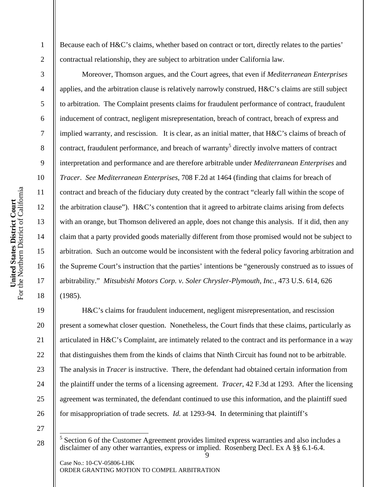Because each of H&C's claims, whether based on contract or tort, directly relates to the parties' contractual relationship, they are subject to arbitration under California law.

 Moreover, Thomson argues, and the Court agrees, that even if *Mediterranean Enterprises* applies, and the arbitration clause is relatively narrowly construed, H&C's claims are still subject to arbitration. The Complaint presents claims for fraudulent performance of contract, fraudulent inducement of contract, negligent misrepresentation, breach of contract, breach of express and implied warranty, and rescission. It is clear, as an initial matter, that H&C's claims of breach of contract, fraudulent performance, and breach of warranty<sup>5</sup> directly involve matters of contract interpretation and performance and are therefore arbitrable under *Mediterranean Enterprises* and *Tracer*. *See Mediterranean Enterprises*, 708 F.2d at 1464 (finding that claims for breach of contract and breach of the fiduciary duty created by the contract "clearly fall within the scope of the arbitration clause"). H&C's contention that it agreed to arbitrate claims arising from defects with an orange, but Thomson delivered an apple, does not change this analysis. If it did, then any claim that a party provided goods materially different from those promised would not be subject to arbitration. Such an outcome would be inconsistent with the federal policy favoring arbitration and the Supreme Court's instruction that the parties' intentions be "generously construed as to issues of arbitrability." *Mitsubishi Motors Corp. v. Soler Chrysler-Plymouth, Inc.*, 473 U.S. 614, 626 (1985).

 H&C's claims for fraudulent inducement, negligent misrepresentation, and rescission present a somewhat closer question. Nonetheless, the Court finds that these claims, particularly as articulated in H&C's Complaint, are intimately related to the contract and its performance in a way that distinguishes them from the kinds of claims that Ninth Circuit has found not to be arbitrable. The analysis in *Tracer* is instructive. There, the defendant had obtained certain information from the plaintiff under the terms of a licensing agreement. *Tracer*, 42 F.3d at 1293. After the licensing agreement was terminated, the defendant continued to use this information, and the plaintiff sued for misappropriation of trade secrets. *Id.* at 1293-94. In determining that plaintiff's

27 28

Case No.: 10-CV-05806-LHK ORDER GRANTING MOTION TO COMPEL ARBITRATION

1

2

3

4

5

6

7

8

9

10

11

12

13

14

15

16

17

18

19

20

21

22

23

24

25

<sup>9</sup>  <sup>5</sup> Section 6 of the Customer Agreement provides limited express warranties and also includes a disclaimer of any other warranties, express or implied. Rosenberg Decl. Ex A §§ 6.1-6.4.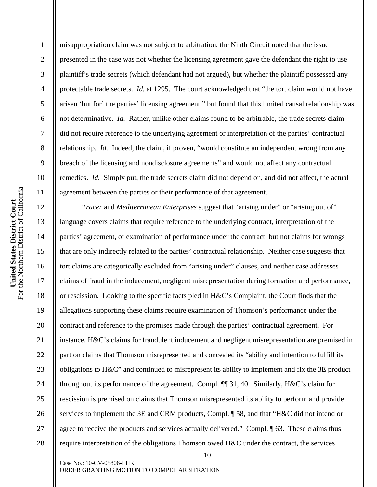misappropriation claim was not subject to arbitration, the Ninth Circuit noted that the issue presented in the case was not whether the licensing agreement gave the defendant the right to use plaintiff's trade secrets (which defendant had not argued), but whether the plaintiff possessed any protectable trade secrets. *Id.* at 1295. The court acknowledged that "the tort claim would not have arisen 'but for' the parties' licensing agreement," but found that this limited causal relationship was not determinative. *Id.* Rather, unlike other claims found to be arbitrable, the trade secrets claim did not require reference to the underlying agreement or interpretation of the parties' contractual relationship. *Id.* Indeed, the claim, if proven, "would constitute an independent wrong from any breach of the licensing and nondisclosure agreements" and would not affect any contractual remedies. *Id.* Simply put, the trade secrets claim did not depend on, and did not affect, the actual agreement between the parties or their performance of that agreement.

*Tracer* and *Mediterranean Enterprises* suggest that "arising under" or "arising out of" language covers claims that require reference to the underlying contract, interpretation of the parties' agreement, or examination of performance under the contract, but not claims for wrongs that are only indirectly related to the parties' contractual relationship. Neither case suggests that tort claims are categorically excluded from "arising under" clauses, and neither case addresses claims of fraud in the inducement, negligent misrepresentation during formation and performance, or rescission. Looking to the specific facts pled in H&C's Complaint, the Court finds that the allegations supporting these claims require examination of Thomson's performance under the contract and reference to the promises made through the parties' contractual agreement. For instance, H&C's claims for fraudulent inducement and negligent misrepresentation are premised in part on claims that Thomson misrepresented and concealed its "ability and intention to fulfill its obligations to H&C" and continued to misrepresent its ability to implement and fix the 3E product throughout its performance of the agreement. Compl. ¶¶ 31, 40. Similarly, H&C's claim for rescission is premised on claims that Thomson misrepresented its ability to perform and provide services to implement the 3E and CRM products, Compl. ¶ 58, and that "H&C did not intend or agree to receive the products and services actually delivered." Compl. ¶ 63. These claims thus require interpretation of the obligations Thomson owed H&C under the contract, the services

10

Case No.: 10-CV-05806-LHK ORDER GRANTING MOTION TO COMPEL ARBITRATION

1

2

3

4

5

6

7

8

9

10

11

12

13

14

15

16

17

18

19

20

21

22

23

24

25

26

27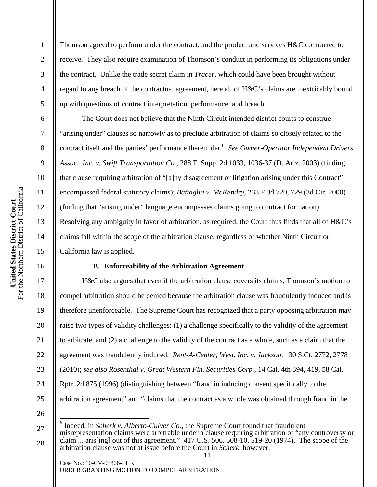2

3

4

5

6

7

Thomson agreed to perform under the contract, and the product and services H&C contracted to receive. They also require examination of Thomson's conduct in performing its obligations under the contract. Unlike the trade secret claim in *Tracer*, which could have been brought without regard to any breach of the contractual agreement, here all of H&C's claims are inextricably bound up with questions of contract interpretation, performance, and breach.

The Court does not believe that the Ninth Circuit intended district courts to construe "arising under" clauses so narrowly as to preclude arbitration of claims so closely related to the contract itself and the parties' performance thereunder.6 *See Owner-Operator Independent Drivers Assoc., Inc. v. Swift Transportation Co.*, 288 F. Supp. 2d 1033, 1036-37 (D. Ariz. 2003) (finding that clause requiring arbitration of "[a]ny disagreement or litigation arising under this Contract" encompassed federal statutory claims); *Battaglia v. McKendry*, 233 F.3d 720, 729 (3d Cir. 2000) (finding that "arising under" language encompasses claims going to contract formation). Resolving any ambiguity in favor of arbitration, as required, the Court thus finds that all of H&C's claims fall within the scope of the arbitration clause, regardless of whether Ninth Circuit or California law is applied.

# **B. Enforceability of the Arbitration Agreement**

H&C also argues that even if the arbitration clause covers its claims, Thomson's motion to compel arbitration should be denied because the arbitration clause was fraudulently induced and is therefore unenforceable. The Supreme Court has recognized that a party opposing arbitration may raise two types of validity challenges: (1) a challenge specifically to the validity of the agreement to arbitrate, and (2) a challenge to the validity of the contract as a whole, such as a claim that the agreement was fraudulently induced. *Rent-A-Center, West, Inc. v. Jackson*, 130 S.Ct. 2772, 2778 (2010); *see also Rosenthal v. Great Western Fin. Securities Corp.*, 14 Cal. 4th 394, 419, 58 Cal. Rptr. 2d 875 (1996) (distinguishing between "fraud in inducing consent specifically to the arbitration agreement" and "claims that the contract as a whole was obtained through fraud in the

26 27

28

18

19

20

21

22

23

24

25

ORDER GRANTING MOTION TO COMPEL ARBITRATION

Case No.: 10-CV-05806-LHK

 6 Indeed, in *Scherk v. Alberto-Culver Co.*, the Supreme Court found that fraudulent misrepresentation claims were arbitrable under a clause requiring arbitration of "any controversy or claim ... aris[ing] out of this agreement." 417 U.S. 506, 508-10, 519-20 (1974). The scope of the arbitration clause was not at issue before the Court in *Scherk*, however.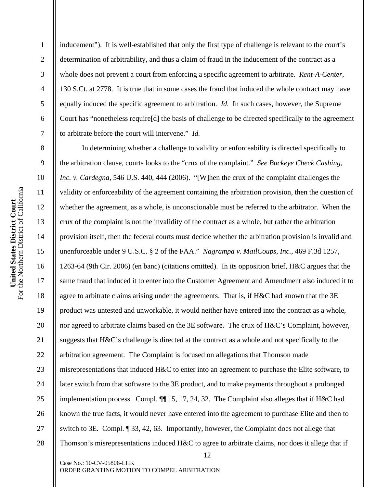inducement"). It is well-established that only the first type of challenge is relevant to the court's determination of arbitrability, and thus a claim of fraud in the inducement of the contract as a whole does not prevent a court from enforcing a specific agreement to arbitrate. *Rent-A-Center*, 130 S.Ct. at 2778. It is true that in some cases the fraud that induced the whole contract may have equally induced the specific agreement to arbitration. *Id.* In such cases, however, the Supreme Court has "nonetheless require[d] the basis of challenge to be directed specifically to the agreement to arbitrate before the court will intervene." *Id.*

In determining whether a challenge to validity or enforceability is directed specifically to the arbitration clause, courts looks to the "crux of the complaint." *See Buckeye Check Cashing, Inc. v. Cardegna*, 546 U.S. 440, 444 (2006). "[W]hen the crux of the complaint challenges the validity or enforceability of the agreement containing the arbitration provision, then the question of whether the agreement, as a whole, is unconscionable must be referred to the arbitrator. When the crux of the complaint is not the invalidity of the contract as a whole, but rather the arbitration provision itself, then the federal courts must decide whether the arbitration provision is invalid and unenforceable under 9 U.S.C. § 2 of the FAA." *Nagrampa v. MailCoups, Inc.*, 469 F.3d 1257, 1263-64 (9th Cir. 2006) (en banc) (citations omitted). In its opposition brief, H&C argues that the same fraud that induced it to enter into the Customer Agreement and Amendment also induced it to agree to arbitrate claims arising under the agreements. That is, if H&C had known that the 3E product was untested and unworkable, it would neither have entered into the contract as a whole, nor agreed to arbitrate claims based on the 3E software. The crux of H&C's Complaint, however, suggests that H&C's challenge is directed at the contract as a whole and not specifically to the arbitration agreement. The Complaint is focused on allegations that Thomson made misrepresentations that induced H&C to enter into an agreement to purchase the Elite software, to later switch from that software to the 3E product, and to make payments throughout a prolonged implementation process. Compl. ¶¶ 15, 17, 24, 32. The Complaint also alleges that if H&C had known the true facts, it would never have entered into the agreement to purchase Elite and then to switch to 3E. Compl. ¶ 33, 42, 63. Importantly, however, the Complaint does not allege that Thomson's misrepresentations induced H&C to agree to arbitrate claims, nor does it allege that if

12

Case No.: 10-CV-05806-LHK ORDER GRANTING MOTION TO COMPEL ARBITRATION

1

2

3

4

5

6

7

8

9

10

11

12

13

14

15

16

17

18

19

20

21

22

23

24

25

26

27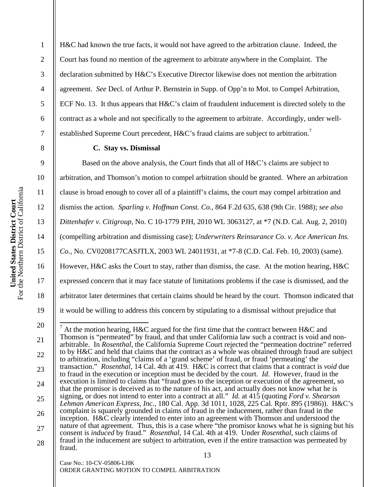2

3

4

5

6

7

8

9

10

11

12

13

14

15

16

17

18

19

H&C had known the true facts, it would not have agreed to the arbitration clause. Indeed, the Court has found no mention of the agreement to arbitrate anywhere in the Complaint. The declaration submitted by H&C's Executive Director likewise does not mention the arbitration agreement. *See* Decl. of Arthur P. Bernstein in Supp. of Opp'n to Mot. to Compel Arbitration, ECF No. 13. It thus appears that H&C's claim of fraudulent inducement is directed solely to the contract as a whole and not specifically to the agreement to arbitrate. Accordingly, under wellestablished Supreme Court precedent, H&C's fraud claims are subject to arbitration.<sup>7</sup>

## **C. Stay vs. Dismissal**

Based on the above analysis, the Court finds that all of H&C's claims are subject to arbitration, and Thomson's motion to compel arbitration should be granted. Where an arbitration clause is broad enough to cover all of a plaintiff's claims, the court may compel arbitration and dismiss the action. *Sparling v. Hoffman Const. Co.*, 864 F.2d 635, 638 (9th Cir. 1988); *see also Dittenhafer v. Citigroup*, No. C 10-1779 PJH, 2010 WL 3063127, at \*7 (N.D. Cal. Aug. 2, 2010) (compelling arbitration and dismissing case); *Underwriters Reinsurance Co. v. Ace American Ins. Co.*, No. CV0208177CASJTLX, 2003 WL 24011931, at \*7-8 (C.D. Cal. Feb. 10, 2003) (same). However, H&C asks the Court to stay, rather than dismiss, the case. At the motion hearing, H&C expressed concern that it may face statute of limitations problems if the case is dismissed, and the arbitrator later determines that certain claims should be heard by the court. Thomson indicated that it would be willing to address this concern by stipulating to a dismissal without prejudice that

Case No.: 10-CV-05806-LHK

<sup>20</sup>  21 22 23 24 25 26 27 28 <sup>7</sup> At the motion hearing, H&C argued for the first time that the contract between H&C and Thomson is "permeated" by fraud, and that under California law such a contract is void and nonarbitrable. In *Rosenthal*, the California Supreme Court rejected the "permeation doctrine" referred to by H&C and held that claims that the contract as a whole was obtained through fraud are subject to arbitration, including "claims of a 'grand scheme' of fraud, or fraud 'permeating' the transaction." *Rosenthal*, 14 Cal. 4th at 419. H&C is correct that claims that a contract is *void* due to fraud in the execution or inception must be decided by the court. *Id.* However, fraud in the execution is limited to claims that "fraud goes to the inception or execution of the agreement, so that the promisor is deceived as to the nature of his act, and actually does not know what he is signing, or does not intend to enter into a contract at all." *Id.* at 415 (quoting *Ford v. Shearson Lehman American Express, Inc.*, 180 Cal. App. 3d 1011, 1028, 225 Cal. Rptr. 895 (1986)). H&C's complaint is squarely grounded in claims of fraud in the inducement, rather than fraud in the inception. H&C clearly intended to enter into an agreement with Thomson and understood the nature of that agreement. Thus, this is a case where "the promisor knows what he is signing but his consent is *induced* by fraud." *Rosenthal*, 14 Cal. 4th at 419. Under *Rosenthal*, such claims of fraud in the inducement are subject to arbitration, even if the entire transaction was permeated by fraud.